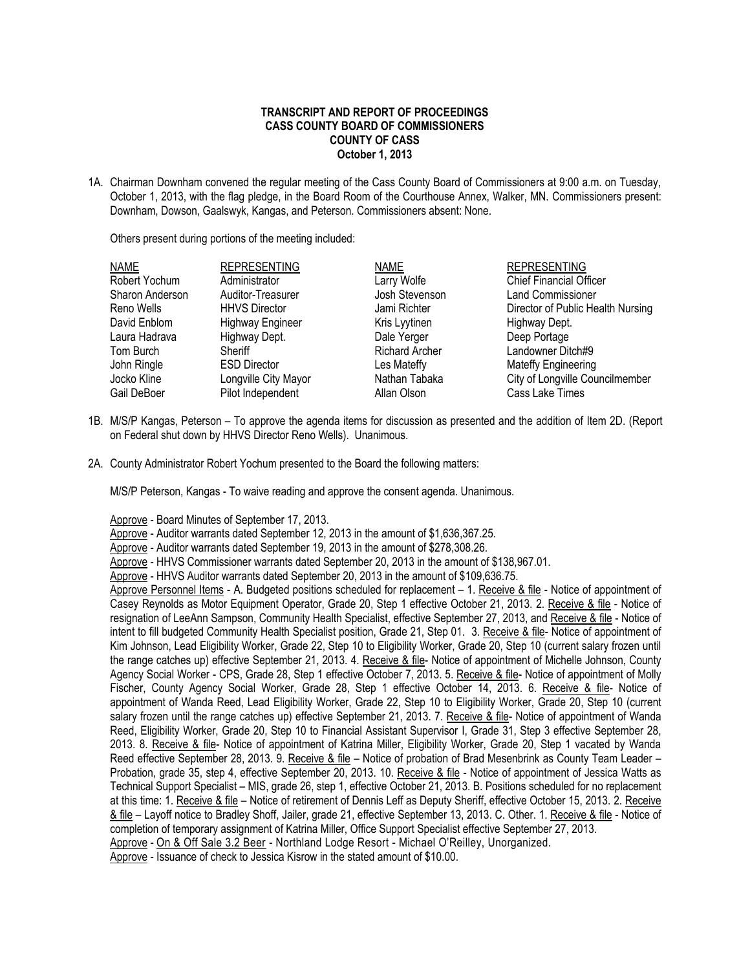## **TRANSCRIPT AND REPORT OF PROCEEDINGS CASS COUNTY BOARD OF COMMISSIONERS COUNTY OF CASS October 1, 2013**

1A. Chairman Downham convened the regular meeting of the Cass County Board of Commissioners at 9:00 a.m. on Tuesday, October 1, 2013, with the flag pledge, in the Board Room of the Courthouse Annex, Walker, MN. Commissioners present: Downham, Dowson, Gaalswyk, Kangas, and Peterson. Commissioners absent: None.

Others present during portions of the meeting included:

| NAME            | <b>REPRESENTING</b>     | <b>NAME</b>           | <b>REPRESENTING</b>               |
|-----------------|-------------------------|-----------------------|-----------------------------------|
| Robert Yochum   | Administrator           | Larry Wolfe           | <b>Chief Financial Officer</b>    |
| Sharon Anderson | Auditor-Treasurer       | Josh Stevenson        | <b>Land Commissioner</b>          |
| Reno Wells      | <b>HHVS Director</b>    | Jami Richter          | Director of Public Health Nursing |
| David Enblom    | <b>Highway Engineer</b> | Kris Lyytinen         | Highway Dept.                     |
| Laura Hadrava   | Highway Dept.           | Dale Yerger           | Deep Portage                      |
| Tom Burch       | Sheriff                 | <b>Richard Archer</b> | Landowner Ditch#9                 |
| John Ringle     | <b>ESD Director</b>     | Les Mateffy           | Mateffy Engineering               |
| Jocko Kline     | Longville City Mayor    | Nathan Tabaka         | City of Longville Councilmember   |
| Gail DeBoer     | Pilot Independent       | Allan Olson           | Cass Lake Times                   |

- 1B. M/S/P Kangas, Peterson To approve the agenda items for discussion as presented and the addition of Item 2D. (Report on Federal shut down by HHVS Director Reno Wells). Unanimous.
- 2A. County Administrator Robert Yochum presented to the Board the following matters:

M/S/P Peterson, Kangas - To waive reading and approve the consent agenda. Unanimous.

Approve - Board Minutes of September 17, 2013.

Approve - Auditor warrants dated September 12, 2013 in the amount of \$1,636,367.25.

Approve - Auditor warrants dated September 19, 2013 in the amount of \$278,308.26.

Approve - HHVS Commissioner warrants dated September 20, 2013 in the amount of \$138,967.01.

Approve - HHVS Auditor warrants dated September 20, 2013 in the amount of \$109,636.75.

Approve Personnel Items - A. Budgeted positions scheduled for replacement – 1. Receive & file - Notice of appointment of Casey Reynolds as Motor Equipment Operator, Grade 20, Step 1 effective October 21, 2013. 2. Receive & file - Notice of resignation of LeeAnn Sampson, Community Health Specialist, effective September 27, 2013, and Receive & file - Notice of intent to fill budgeted Community Health Specialist position, Grade 21, Step 01. 3. Receive & file- Notice of appointment of Kim Johnson, Lead Eligibility Worker, Grade 22, Step 10 to Eligibility Worker, Grade 20, Step 10 (current salary frozen until the range catches up) effective September 21, 2013. 4. Receive & file- Notice of appointment of Michelle Johnson, County Agency Social Worker - CPS, Grade 28, Step 1 effective October 7, 2013. 5. Receive & file-Notice of appointment of Molly Fischer, County Agency Social Worker, Grade 28, Step 1 effective October 14, 2013. 6. Receive & file- Notice of appointment of Wanda Reed, Lead Eligibility Worker, Grade 22, Step 10 to Eligibility Worker, Grade 20, Step 10 (current salary frozen until the range catches up) effective September 21, 2013. 7. Receive & file- Notice of appointment of Wanda Reed, Eligibility Worker, Grade 20, Step 10 to Financial Assistant Supervisor I, Grade 31, Step 3 effective September 28, 2013. 8. Receive & file- Notice of appointment of Katrina Miller, Eligibility Worker, Grade 20, Step 1 vacated by Wanda Reed effective September 28, 2013. 9. Receive & file – Notice of probation of Brad Mesenbrink as County Team Leader – Probation, grade 35, step 4, effective September 20, 2013. 10. Receive & file - Notice of appointment of Jessica Watts as Technical Support Specialist – MIS, grade 26, step 1, effective October 21, 2013. B. Positions scheduled for no replacement at this time: 1. Receive & file - Notice of retirement of Dennis Leff as Deputy Sheriff, effective October 15, 2013. 2. Receive & file – Layoff notice to Bradley Shoff, Jailer, grade 21, effective September 13, 2013. C. Other. 1. Receive & file - Notice of completion of temporary assignment of Katrina Miller, Office Support Specialist effective September 27, 2013. Approve - On & Off Sale 3.2 Beer - Northland Lodge Resort - Michael O'Reilley, Unorganized. Approve - Issuance of check to Jessica Kisrow in the stated amount of \$10.00.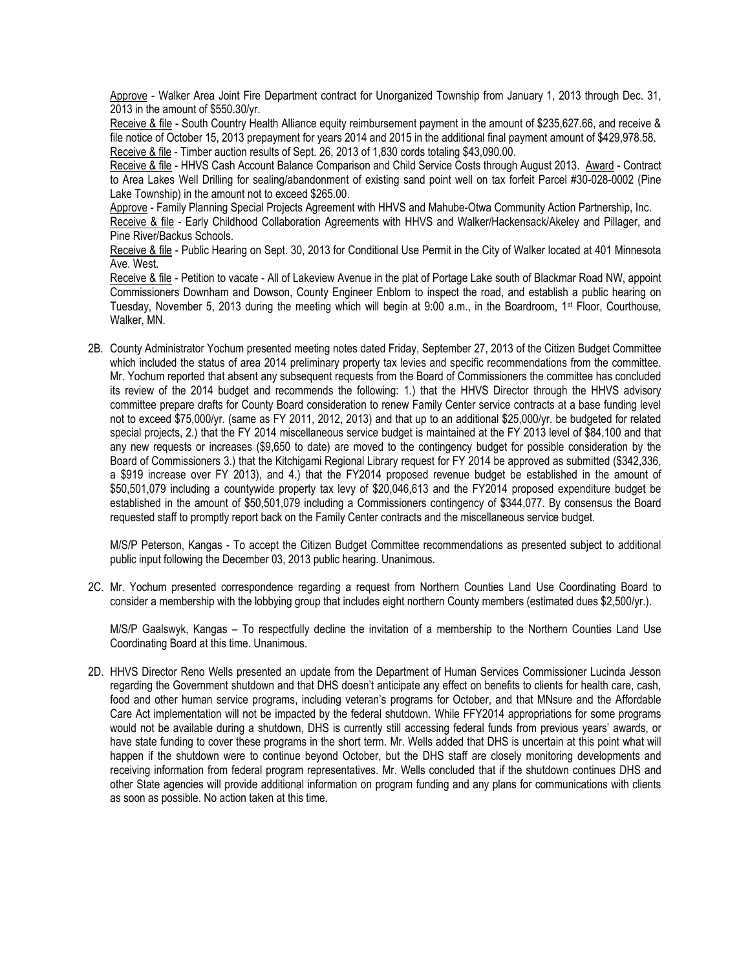Approve - Walker Area Joint Fire Department contract for Unorganized Township from January 1, 2013 through Dec. 31, 2013 in the amount of \$550.30/yr.

Receive & file - South Country Health Alliance equity reimbursement payment in the amount of \$235,627,66, and receive & file notice of October 15, 2013 prepayment for years 2014 and 2015 in the additional final payment amount of \$429,978.58. Receive & file - Timber auction results of Sept. 26, 2013 of 1,830 cords totaling \$43,090.00.

Receive & file - HHVS Cash Account Balance Comparison and Child Service Costs through August 2013. Award - Contract to Area Lakes Well Drilling for sealing/abandonment of existing sand point well on tax forfeit Parcel #30-028-0002 (Pine Lake Township) in the amount not to exceed \$265.00.

Approve - Family Planning Special Projects Agreement with HHVS and Mahube-Otwa Community Action Partnership, Inc. Receive & file - Early Childhood Collaboration Agreements with HHVS and Walker/Hackensack/Akeley and Pillager, and Pine River/Backus Schools.

Receive & file - Public Hearing on Sept. 30, 2013 for Conditional Use Permit in the City of Walker located at 401 Minnesota Ave. West.

Receive & file - Petition to vacate - All of Lakeview Avenue in the plat of Portage Lake south of Blackmar Road NW, appoint Commissioners Downham and Dowson, County Engineer Enblom to inspect the road, and establish a public hearing on Tuesday, November 5, 2013 during the meeting which will begin at 9:00 a.m., in the Boardroom, 1st Floor, Courthouse, Walker, MN.

2B. County Administrator Yochum presented meeting notes dated Friday, September 27, 2013 of the Citizen Budget Committee which included the status of area 2014 preliminary property tax levies and specific recommendations from the committee. Mr. Yochum reported that absent any subsequent requests from the Board of Commissioners the committee has concluded its review of the 2014 budget and recommends the following: 1.) that the HHVS Director through the HHVS advisory committee prepare drafts for County Board consideration to renew Family Center service contracts at a base funding level not to exceed \$75,000/yr. (same as FY 2011, 2012, 2013) and that up to an additional \$25,000/yr. be budgeted for related special projects, 2.) that the FY 2014 miscellaneous service budget is maintained at the FY 2013 level of \$84,100 and that any new requests or increases (\$9,650 to date) are moved to the contingency budget for possible consideration by the Board of Commissioners 3.) that the Kitchigami Regional Library request for FY 2014 be approved as submitted (\$342,336, a \$919 increase over FY 2013), and 4.) that the FY2014 proposed revenue budget be established in the amount of \$50,501,079 including a countywide property tax levy of \$20,046,613 and the FY2014 proposed expenditure budget be established in the amount of \$50,501,079 including a Commissioners contingency of \$344,077. By consensus the Board requested staff to promptly report back on the Family Center contracts and the miscellaneous service budget.

M/S/P Peterson, Kangas - To accept the Citizen Budget Committee recommendations as presented subject to additional public input following the December 03, 2013 public hearing. Unanimous.

2C. Mr. Yochum presented correspondence regarding a request from Northern Counties Land Use Coordinating Board to consider a membership with the lobbying group that includes eight northern County members (estimated dues \$2,500/yr.).

M/S/P Gaalswyk, Kangas – To respectfully decline the invitation of a membership to the Northern Counties Land Use Coordinating Board at this time. Unanimous.

2D. HHVS Director Reno Wells presented an update from the Department of Human Services Commissioner Lucinda Jesson regarding the Government shutdown and that DHS doesn't anticipate any effect on benefits to clients for health care, cash, food and other human service programs, including veteran's programs for October, and that MNsure and the Affordable Care Act implementation will not be impacted by the federal shutdown. While FFY2014 appropriations for some programs would not be available during a shutdown, DHS is currently still accessing federal funds from previous years' awards, or have state funding to cover these programs in the short term. Mr. Wells added that DHS is uncertain at this point what will happen if the shutdown were to continue beyond October, but the DHS staff are closely monitoring developments and receiving information from federal program representatives. Mr. Wells concluded that if the shutdown continues DHS and other State agencies will provide additional information on program funding and any plans for communications with clients as soon as possible. No action taken at this time.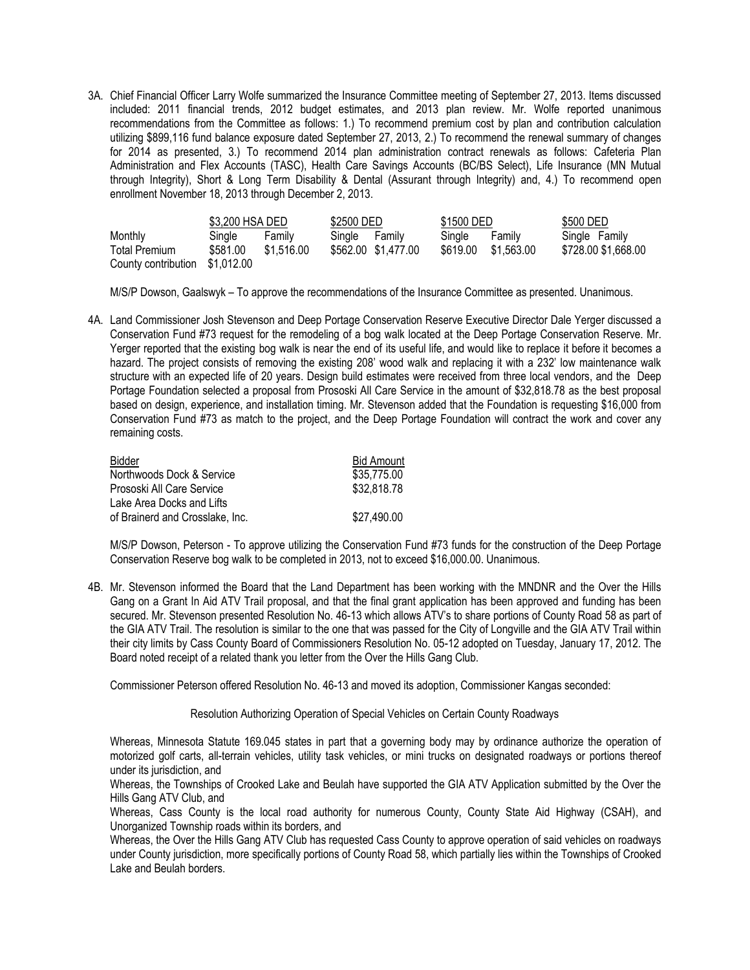3A. Chief Financial Officer Larry Wolfe summarized the Insurance Committee meeting of September 27, 2013. Items discussed included: 2011 financial trends, 2012 budget estimates, and 2013 plan review. Mr. Wolfe reported unanimous recommendations from the Committee as follows: 1.) To recommend premium cost by plan and contribution calculation utilizing \$899,116 fund balance exposure dated September 27, 2013, 2.) To recommend the renewal summary of changes for 2014 as presented, 3.) To recommend 2014 plan administration contract renewals as follows: Cafeteria Plan Administration and Flex Accounts (TASC), Health Care Savings Accounts (BC/BS Select), Life Insurance (MN Mutual through Integrity), Short & Long Term Disability & Dental (Assurant through Integrity) and, 4.) To recommend open enrollment November 18, 2013 through December 2, 2013.

|                     | \$3,200 HSA DED |            | \$2500 DED |                     | \$1500 DED |            | \$500 DED           |
|---------------------|-----------------|------------|------------|---------------------|------------|------------|---------------------|
| Monthly             | Sinale          | Familv     | Sinale     | Familv              | Sinale     | Family     | Single Family       |
| Total Premium       | \$581.00        | \$1.516.00 |            | \$562.00 \$1,477.00 | \$619.00   | \$1,563.00 | \$728.00 \$1,668.00 |
| County contribution | \$1,012.00      |            |            |                     |            |            |                     |

M/S/P Dowson, Gaalswyk – To approve the recommendations of the Insurance Committee as presented. Unanimous.

4A. Land Commissioner Josh Stevenson and Deep Portage Conservation Reserve Executive Director Dale Yerger discussed a Conservation Fund #73 request for the remodeling of a bog walk located at the Deep Portage Conservation Reserve. Mr. Yerger reported that the existing bog walk is near the end of its useful life, and would like to replace it before it becomes a hazard. The project consists of removing the existing 208' wood walk and replacing it with a 232' low maintenance walk structure with an expected life of 20 years. Design build estimates were received from three local vendors, and the Deep Portage Foundation selected a proposal from Prososki All Care Service in the amount of \$32,818.78 as the best proposal based on design, experience, and installation timing. Mr. Stevenson added that the Foundation is requesting \$16,000 from Conservation Fund #73 as match to the project, and the Deep Portage Foundation will contract the work and cover any remaining costs.

| <b>Bidder</b>                   | <b>Bid Amount</b> |
|---------------------------------|-------------------|
| Northwoods Dock & Service       | \$35,775.00       |
| Prososki All Care Service       | \$32,818.78       |
| Lake Area Docks and Lifts       |                   |
| of Brainerd and Crosslake, Inc. | \$27,490.00       |

M/S/P Dowson, Peterson - To approve utilizing the Conservation Fund #73 funds for the construction of the Deep Portage Conservation Reserve bog walk to be completed in 2013, not to exceed \$16,000.00. Unanimous.

4B. Mr. Stevenson informed the Board that the Land Department has been working with the MNDNR and the Over the Hills Gang on a Grant In Aid ATV Trail proposal, and that the final grant application has been approved and funding has been secured. Mr. Stevenson presented Resolution No. 46-13 which allows ATV's to share portions of County Road 58 as part of the GIA ATV Trail. The resolution is similar to the one that was passed for the City of Longville and the GIA ATV Trail within their city limits by Cass County Board of Commissioners Resolution No. 05-12 adopted on Tuesday, January 17, 2012. The Board noted receipt of a related thank you letter from the Over the Hills Gang Club.

Commissioner Peterson offered Resolution No. 46-13 and moved its adoption, Commissioner Kangas seconded:

## Resolution Authorizing Operation of Special Vehicles on Certain County Roadways

Whereas, Minnesota Statute 169.045 states in part that a governing body may by ordinance authorize the operation of motorized golf carts, all-terrain vehicles, utility task vehicles, or mini trucks on designated roadways or portions thereof under its jurisdiction, and

Whereas, the Townships of Crooked Lake and Beulah have supported the GIA ATV Application submitted by the Over the Hills Gang ATV Club, and

Whereas, Cass County is the local road authority for numerous County, County State Aid Highway (CSAH), and Unorganized Township roads within its borders, and

Whereas, the Over the Hills Gang ATV Club has requested Cass County to approve operation of said vehicles on roadways under County jurisdiction, more specifically portions of County Road 58, which partially lies within the Townships of Crooked Lake and Beulah borders.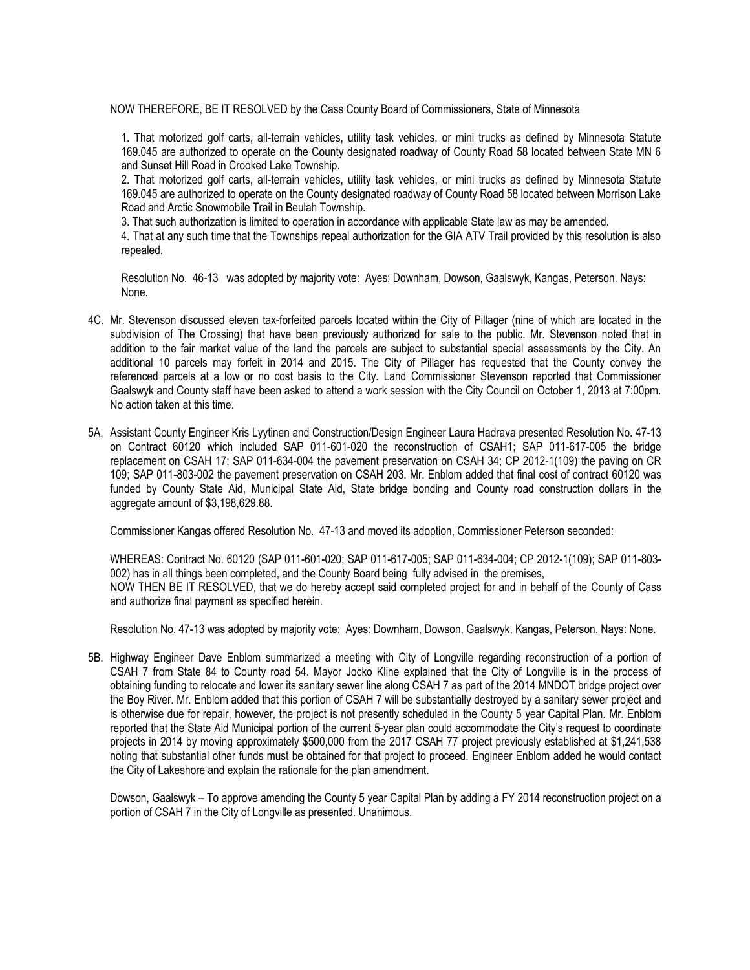NOW THEREFORE, BE IT RESOLVED by the Cass County Board of Commissioners, State of Minnesota

1. That motorized golf carts, all-terrain vehicles, utility task vehicles, or mini trucks as defined by Minnesota Statute 169.045 are authorized to operate on the County designated roadway of County Road 58 located between State MN 6 and Sunset Hill Road in Crooked Lake Township.

2. That motorized golf carts, all-terrain vehicles, utility task vehicles, or mini trucks as defined by Minnesota Statute 169.045 are authorized to operate on the County designated roadway of County Road 58 located between Morrison Lake Road and Arctic Snowmobile Trail in Beulah Township.

3. That such authorization is limited to operation in accordance with applicable State law as may be amended.

4. That at any such time that the Townships repeal authorization for the GIA ATV Trail provided by this resolution is also repealed.

Resolution No. 46-13 was adopted by majority vote: Ayes: Downham, Dowson, Gaalswyk, Kangas, Peterson. Nays: None.

- 4C. Mr. Stevenson discussed eleven tax-forfeited parcels located within the City of Pillager (nine of which are located in the subdivision of The Crossing) that have been previously authorized for sale to the public. Mr. Stevenson noted that in addition to the fair market value of the land the parcels are subject to substantial special assessments by the City. An additional 10 parcels may forfeit in 2014 and 2015. The City of Pillager has requested that the County convey the referenced parcels at a low or no cost basis to the City. Land Commissioner Stevenson reported that Commissioner Gaalswyk and County staff have been asked to attend a work session with the City Council on October 1, 2013 at 7:00pm. No action taken at this time.
- 5A. Assistant County Engineer Kris Lyytinen and Construction/Design Engineer Laura Hadrava presented Resolution No. 47-13 on Contract 60120 which included SAP 011-601-020 the reconstruction of CSAH1; SAP 011-617-005 the bridge replacement on CSAH 17; SAP 011-634-004 the pavement preservation on CSAH 34; CP 2012-1(109) the paving on CR 109; SAP 011-803-002 the pavement preservation on CSAH 203. Mr. Enblom added that final cost of contract 60120 was funded by County State Aid, Municipal State Aid, State bridge bonding and County road construction dollars in the aggregate amount of \$3,198,629.88.

Commissioner Kangas offered Resolution No. 47-13 and moved its adoption, Commissioner Peterson seconded:

WHEREAS: Contract No. 60120 (SAP 011-601-020; SAP 011-617-005; SAP 011-634-004; CP 2012-1(109); SAP 011-803- 002) has in all things been completed, and the County Board being fully advised in the premises, NOW THEN BE IT RESOLVED, that we do hereby accept said completed project for and in behalf of the County of Cass and authorize final payment as specified herein.

Resolution No. 47-13 was adopted by majority vote: Ayes: Downham, Dowson, Gaalswyk, Kangas, Peterson. Nays: None.

5B. Highway Engineer Dave Enblom summarized a meeting with City of Longville regarding reconstruction of a portion of CSAH 7 from State 84 to County road 54. Mayor Jocko Kline explained that the City of Longville is in the process of obtaining funding to relocate and lower its sanitary sewer line along CSAH 7 as part of the 2014 MNDOT bridge project over the Boy River. Mr. Enblom added that this portion of CSAH 7 will be substantially destroyed by a sanitary sewer project and is otherwise due for repair, however, the project is not presently scheduled in the County 5 year Capital Plan. Mr. Enblom reported that the State Aid Municipal portion of the current 5-year plan could accommodate the City's request to coordinate projects in 2014 by moving approximately \$500,000 from the 2017 CSAH 77 project previously established at \$1,241,538 noting that substantial other funds must be obtained for that project to proceed. Engineer Enblom added he would contact the City of Lakeshore and explain the rationale for the plan amendment.

Dowson, Gaalswyk – To approve amending the County 5 year Capital Plan by adding a FY 2014 reconstruction project on a portion of CSAH 7 in the City of Longville as presented. Unanimous.